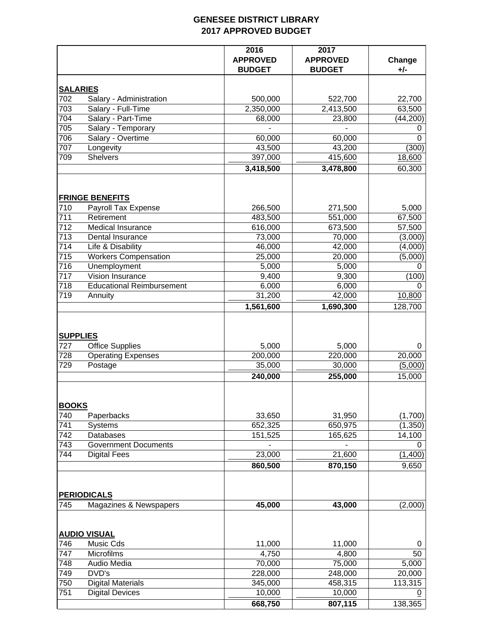## **GENESEE DISTRICT LIBRARY 2017 APPROVED BUDGET**

|                        |                                                 | 2016<br><b>APPROVED</b><br><b>BUDGET</b> | 2017<br><b>APPROVED</b><br><b>BUDGET</b> | Change<br>+/- |
|------------------------|-------------------------------------------------|------------------------------------------|------------------------------------------|---------------|
|                        | <b>SALARIES</b>                                 |                                          |                                          |               |
| 702                    | Salary - Administration                         | 500,000                                  | 522,700                                  | 22,700        |
| 703                    | Salary - Full-Time                              | 2,350,000                                | 2,413,500                                | 63,500        |
| 704                    | Salary - Part-Time                              | 68,000                                   | 23,800                                   | (44, 200)     |
| 705                    | Salary - Temporary                              |                                          |                                          | 0             |
| 706                    | Salary - Overtime                               | 60,000                                   | 60,000                                   | 0             |
| 707                    | Longevity                                       | 43,500                                   | 43,200                                   | (300)         |
| 709                    | <b>Shelvers</b>                                 | 397,000                                  | 415,600                                  | 18,600        |
|                        |                                                 | 3,418,500                                | 3,478,800                                | 60,300        |
|                        | <b>FRINGE BENEFITS</b>                          |                                          |                                          |               |
| 710                    | Payroll Tax Expense                             | 266,500                                  | 271,500                                  | 5,000         |
| 711                    | Retirement                                      | 483,500                                  | 551,000                                  | 67,500        |
| 712                    | Medical Insurance                               | 616,000                                  | 673,500                                  | 57,500        |
| 713                    | Dental Insurance                                | 73,000                                   | 70,000                                   | (3,000)       |
| 714                    | Life & Disability                               | 46,000                                   | 42,000                                   | (4,000)       |
| 715                    | <b>Workers Compensation</b>                     | 25,000                                   | 20,000                                   | (5,000)       |
| 716                    | Unemployment                                    | 5,000                                    | 5,000                                    | 0             |
| 717                    | Vision Insurance                                | 9,400                                    | 9,300                                    | (100)         |
| 718                    | <b>Educational Reimbursement</b>                | 6,000                                    | 6,000                                    | 0             |
| $\overline{719}$       | Annuity                                         | 31,200                                   | 42,000                                   | 10,800        |
|                        |                                                 | 1,561,600                                | 1,690,300                                | 128,700       |
| <b>SUPPLIES</b><br>727 | <b>Office Supplies</b>                          | 5,000                                    | 5,000                                    | 0             |
| 728                    | <b>Operating Expenses</b>                       | 200,000                                  | 220,000                                  | 20,000        |
| 729                    | Postage                                         | 35,000                                   | 30,000                                   | (5,000)       |
|                        |                                                 | 240,000                                  | 255,000                                  | 15,000        |
| <b>BOOKS</b>           |                                                 |                                          |                                          |               |
| 740                    | Paperbacks                                      | 33,650                                   | 31,950                                   | (1,700)       |
| 741                    | <b>Systems</b>                                  | 652,325                                  | 650,975                                  | (1, 350)      |
| 742<br>743             | <b>Databases</b><br><b>Government Documents</b> | 151,525                                  | 165,625                                  | 14,100<br>0   |
| 744                    | <b>Digital Fees</b>                             | 23,000                                   | 21,600                                   | (1,400)       |
|                        |                                                 | 860,500                                  | 870,150                                  | 9,650         |
|                        | <b>PERIODICALS</b>                              |                                          |                                          |               |
| 745                    | Magazines & Newspapers                          | 45,000                                   | 43,000                                   | (2,000)       |
|                        |                                                 |                                          |                                          |               |
| 746                    | <b>AUDIO VISUAL</b><br>Music Cds                | 11,000                                   | 11,000                                   |               |
| 747                    | Microfilms                                      | 4,750                                    | 4,800                                    | 0<br>50       |
| 748                    | Audio Media                                     | 70,000                                   | 75,000                                   | 5,000         |
| 749                    | DVD's                                           | 228,000                                  | 248,000                                  | 20,000        |
| 750                    | <b>Digital Materials</b>                        | 345,000                                  | 458,315                                  | 113,315       |
| 751                    | <b>Digital Devices</b>                          | 10,000                                   | 10,000                                   | 0             |
|                        |                                                 | 668,750                                  | 807,115                                  | 138,365       |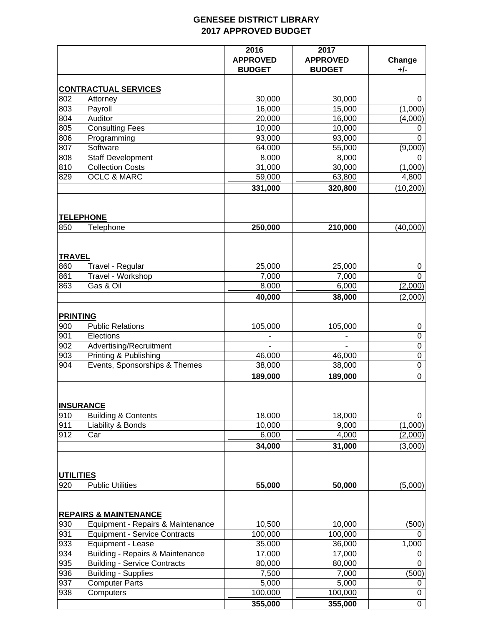## **GENESEE DISTRICT LIBRARY 2017 APPROVED BUDGET**

|                  |                                      | 2016<br><b>APPROVED</b><br><b>BUDGET</b> | 2017<br><b>APPROVED</b><br><b>BUDGET</b> | Change<br>+/-   |
|------------------|--------------------------------------|------------------------------------------|------------------------------------------|-----------------|
|                  | <b>CONTRACTUAL SERVICES</b>          |                                          |                                          |                 |
| 802              | Attorney                             | 30,000                                   | 30,000                                   | 0               |
| 803              | Payroll                              | 16,000                                   | 15,000                                   | (1,000)         |
| 804              | Auditor                              | 20,000                                   | 16,000                                   | (4,000)         |
| 805              | <b>Consulting Fees</b>               | 10,000                                   | 10,000                                   | 0               |
| 806              | Programming                          | 93,000                                   | 93,000                                   | $\Omega$        |
| 807              | Software                             | 64,000                                   | 55,000                                   | (9,000)         |
| 808              | <b>Staff Development</b>             | 8,000                                    | 8,000                                    | 0               |
| 810              | <b>Collection Costs</b>              | 31,000                                   | 30,000                                   | (1,000)         |
| 829              | <b>OCLC &amp; MARC</b>               | 59,000                                   | 63,800                                   | 4,800           |
|                  |                                      | 331,000                                  | 320,800                                  | (10, 200)       |
|                  | <b>TELEPHONE</b>                     |                                          |                                          |                 |
| 850              | Telephone                            | 250,000                                  | 210,000                                  | (40,000)        |
| <b>TRAVEL</b>    |                                      |                                          |                                          |                 |
| 860              | Travel - Regular                     | 25,000                                   | 25,000                                   | 0               |
| 861              | Travel - Workshop                    | 7,000                                    | 7,000                                    | 0               |
| 863              | Gas & Oil                            | 8,000                                    | 6,000                                    | (2,000)         |
|                  |                                      | 40,000                                   | 38,000                                   | (2,000)         |
| <b>PRINTING</b>  |                                      |                                          |                                          |                 |
| 900              | <b>Public Relations</b>              | 105,000                                  | 105,000                                  | 0               |
| 901              | Elections                            |                                          |                                          | $\mathbf 0$     |
| 902              | Advertising/Recruitment              |                                          |                                          | 0               |
| 903              | <b>Printing &amp; Publishing</b>     | 46,000                                   | 46,000                                   | $\mathbf 0$     |
| 904              | Events, Sponsorships & Themes        | 38,000                                   | 38,000                                   | $\underline{0}$ |
|                  |                                      | 189,000                                  | 189,000                                  | $\overline{0}$  |
|                  | <b>INSURANCE</b>                     |                                          |                                          |                 |
| 910              | <b>Building &amp; Contents</b>       | 18,000                                   | 18,000                                   | 0               |
| 911              | Liability & Bonds                    | 10,000                                   | 9,000                                    | (1,000)         |
| 912              | Car                                  | 6,000                                    | 4,000                                    | (2,000)         |
|                  |                                      | 34,000                                   | 31,000                                   | (3,000)         |
| <b>UTILITIES</b> |                                      |                                          |                                          |                 |
| 920              | <b>Public Utilities</b>              | 55,000                                   | 50,000                                   | (5,000)         |
|                  | <b>REPAIRS &amp; MAINTENANCE</b>     |                                          |                                          |                 |
| 930              | Equipment - Repairs & Maintenance    | 10,500                                   | 10,000                                   | (500)           |
| 931              | <b>Equipment - Service Contracts</b> | 100,000                                  | 100,000                                  | 0               |
| 933              | Equipment - Lease                    | 35,000                                   | 36,000                                   | 1,000           |
| 934              | Building - Repairs & Maintenance     | 17,000                                   | 17,000                                   | 0               |
| 935              | <b>Building - Service Contracts</b>  | 80,000                                   | 80,000                                   | 0               |
| 936              | <b>Building - Supplies</b>           | 7,500                                    | 7,000                                    | (500)           |
| 937              | <b>Computer Parts</b>                | 5,000                                    | 5,000                                    | 0               |
| 938              | Computers                            | 100,000                                  | 100,000                                  | 0               |
|                  |                                      | 355,000                                  | 355,000                                  | 0               |